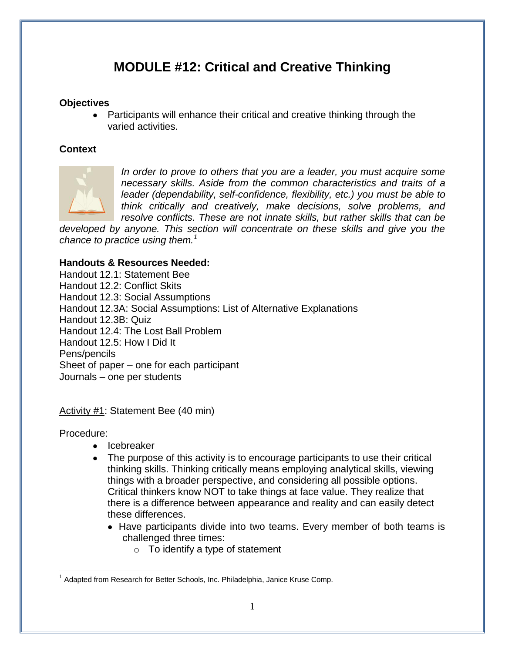## **MODULE #12: Critical and Creative Thinking**

#### **Objectives**

Participants will enhance their critical and creative thinking through the varied activities.

#### **Context**



*In order to prove to others that you are a leader, you must acquire some necessary skills. Aside from the common characteristics and traits of a leader (dependability, self-confidence, flexibility, etc.) you must be able to think critically and creatively, make decisions, solve problems, and resolve conflicts. These are not innate skills, but rather skills that can be* 

*developed by anyone. This section will concentrate on these skills and give you the chance to practice using them.<sup>1</sup>*

#### **Handouts & Resources Needed:**

Handout 12.1: Statement Bee Handout 12.2: Conflict Skits Handout 12.3: Social Assumptions Handout 12.3A: Social Assumptions: List of Alternative Explanations Handout 12.3B: Quiz Handout 12.4: The Lost Ball Problem Handout 12.5: How I Did It Pens/pencils Sheet of paper – one for each participant Journals – one per students

Activity #1: Statement Bee (40 min)

#### Procedure:

- Icebreaker
- The purpose of this activity is to encourage participants to use their critical thinking skills. Thinking critically means employing analytical skills, viewing things with a broader perspective, and considering all possible options. Critical thinkers know NOT to take things at face value. They realize that there is a difference between appearance and reality and can easily detect these differences.
	- Have participants divide into two teams. Every member of both teams is challenged three times:
		- $\circ$  To identify a type of statement

<sup>1</sup>  $1$  Adapted from Research for Better Schools, Inc. Philadelphia, Janice Kruse Comp.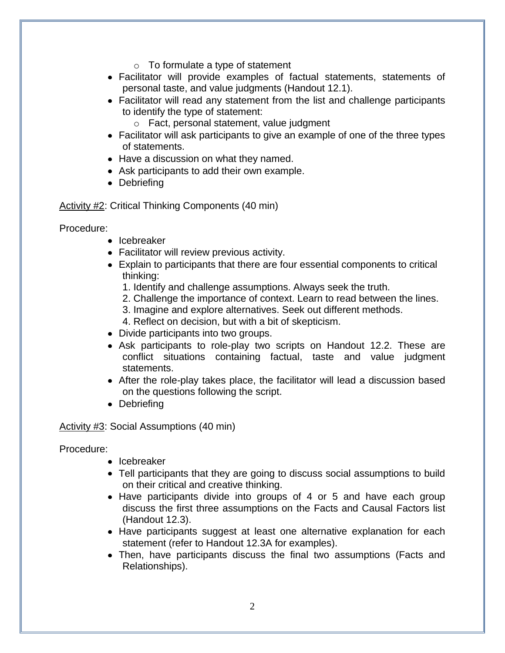- $\circ$  To formulate a type of statement
- Facilitator will provide examples of factual statements, statements of personal taste, and value judgments (Handout 12.1).
- Facilitator will read any statement from the list and challenge participants to identify the type of statement:
	- o Fact, personal statement, value judgment
- Facilitator will ask participants to give an example of one of the three types of statements.
- Have a discussion on what they named.
- Ask participants to add their own example.
- Debriefing

Activity #2: Critical Thinking Components (40 min)

Procedure:

- Icebreaker
- Facilitator will review previous activity.
- Explain to participants that there are four essential components to critical thinking:
	- 1. Identify and challenge assumptions. Always seek the truth.
	- 2. Challenge the importance of context. Learn to read between the lines.
	- 3. Imagine and explore alternatives. Seek out different methods.
	- 4. Reflect on decision, but with a bit of skepticism.
- Divide participants into two groups.
- Ask participants to role-play two scripts on Handout 12.2. These are conflict situations containing factual, taste and value judgment statements.
- After the role-play takes place, the facilitator will lead a discussion based on the questions following the script.
- Debriefing

Activity #3: Social Assumptions (40 min)

Procedure:

- Icebreaker
- Tell participants that they are going to discuss social assumptions to build on their critical and creative thinking.
- Have participants divide into groups of 4 or 5 and have each group discuss the first three assumptions on the Facts and Causal Factors list (Handout 12.3).
- Have participants suggest at least one alternative explanation for each statement (refer to Handout 12.3A for examples).
- Then, have participants discuss the final two assumptions (Facts and Relationships).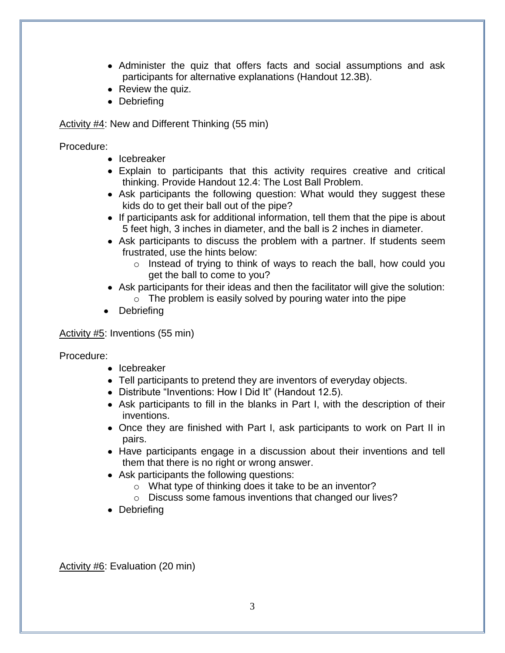- Administer the quiz that offers facts and social assumptions and ask participants for alternative explanations (Handout 12.3B).
- Review the quiz.
- Debriefing

Activity #4: New and Different Thinking (55 min)

Procedure:

- Icebreaker
- Explain to participants that this activity requires creative and critical thinking. Provide Handout 12.4: The Lost Ball Problem.
- Ask participants the following question: What would they suggest these kids do to get their ball out of the pipe?
- If participants ask for additional information, tell them that the pipe is about 5 feet high, 3 inches in diameter, and the ball is 2 inches in diameter.
- Ask participants to discuss the problem with a partner. If students seem frustrated, use the hints below:
	- o Instead of trying to think of ways to reach the ball, how could you get the ball to come to you?
- Ask participants for their ideas and then the facilitator will give the solution:  $\circ$  The problem is easily solved by pouring water into the pipe
- **Debriefing**

Activity #5: Inventions (55 min)

Procedure:

- Icebreaker
- Tell participants to pretend they are inventors of everyday objects.
- Distribute "Inventions: How I Did It" (Handout 12.5).
- Ask participants to fill in the blanks in Part I, with the description of their inventions.
- Once they are finished with Part I, ask participants to work on Part II in pairs.
- Have participants engage in a discussion about their inventions and tell them that there is no right or wrong answer.
- Ask participants the following questions:
	- o What type of thinking does it take to be an inventor?
	- o Discuss some famous inventions that changed our lives?
- Debriefing

Activity #6: Evaluation (20 min)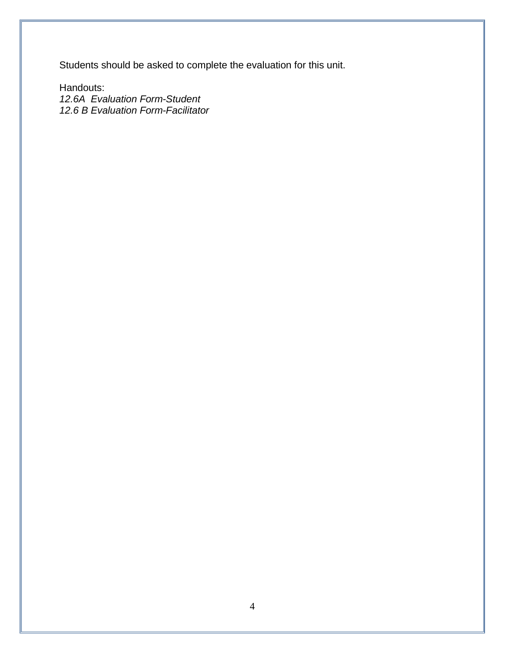Students should be asked to complete the evaluation for this unit.

Handouts: *12.6A Evaluation Form-Student 12.6 B Evaluation Form-Facilitator*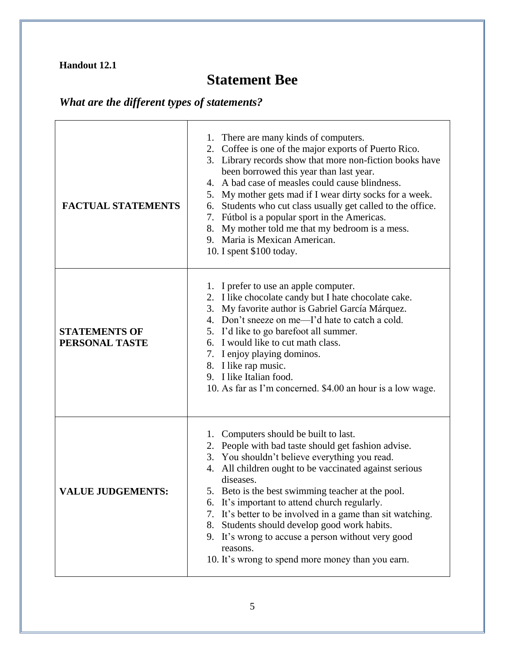# **Statement Bee**

# *What are the different types of statements?*

| <b>FACTUAL STATEMENTS</b>              | 1. There are many kinds of computers.<br>2. Coffee is one of the major exports of Puerto Rico.<br>3. Library records show that more non-fiction books have<br>been borrowed this year than last year.<br>A bad case of measles could cause blindness.<br>4.<br>5. My mother gets mad if I wear dirty socks for a week.<br>Students who cut class usually get called to the office.<br>6.<br>7. Fútbol is a popular sport in the Americas.<br>8. My mother told me that my bedroom is a mess.<br>9. Maria is Mexican American.<br>10. I spent \$100 today.          |
|----------------------------------------|--------------------------------------------------------------------------------------------------------------------------------------------------------------------------------------------------------------------------------------------------------------------------------------------------------------------------------------------------------------------------------------------------------------------------------------------------------------------------------------------------------------------------------------------------------------------|
| <b>STATEMENTS OF</b><br>PERSONAL TASTE | 1. I prefer to use an apple computer.<br>2. I like chocolate candy but I hate chocolate cake.<br>3. My favorite author is Gabriel García Márquez.<br>4. Don't sneeze on me—I'd hate to catch a cold.<br>5. I'd like to go barefoot all summer.<br>6. I would like to cut math class.<br>7. I enjoy playing dominos.<br>8. I like rap music.<br>9. I like Italian food.<br>10. As far as I'm concerned. \$4.00 an hour is a low wage.                                                                                                                               |
| <b>VALUE JUDGEMENTS:</b>               | 1. Computers should be built to last.<br>2. People with bad taste should get fashion advise.<br>3. You shouldn't believe everything you read.<br>4. All children ought to be vaccinated against serious<br>diseases.<br>5. Beto is the best swimming teacher at the pool.<br>6. It's important to attend church regularly.<br>7. It's better to be involved in a game than sit watching.<br>Students should develop good work habits.<br>8.<br>9. It's wrong to accuse a person without very good<br>reasons.<br>10. It's wrong to spend more money than you earn. |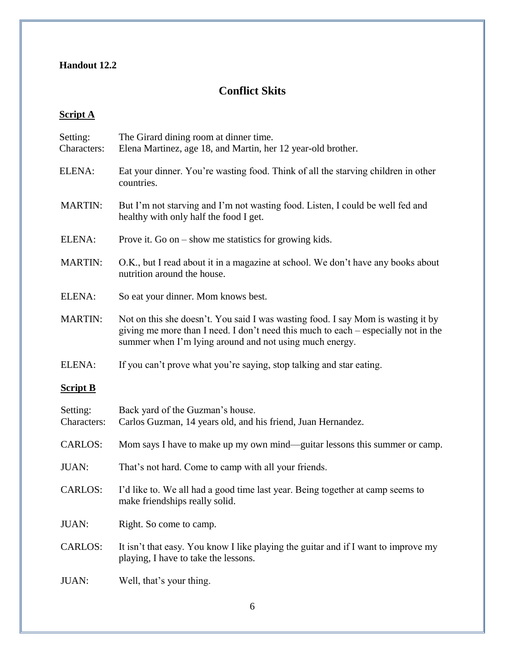## **Conflict Skits**

### **Script A**

| Setting:<br>Characters: | The Girard dining room at dinner time.<br>Elena Martinez, age 18, and Martin, her 12 year-old brother.                                                                                                                            |  |
|-------------------------|-----------------------------------------------------------------------------------------------------------------------------------------------------------------------------------------------------------------------------------|--|
| ELENA:                  | Eat your dinner. You're wasting food. Think of all the starving children in other<br>countries.                                                                                                                                   |  |
| <b>MARTIN:</b>          | But I'm not starving and I'm not wasting food. Listen, I could be well fed and<br>healthy with only half the food I get.                                                                                                          |  |
| ELENA:                  | Prove it. Go on $-$ show me statistics for growing kids.                                                                                                                                                                          |  |
| <b>MARTIN:</b>          | O.K., but I read about it in a magazine at school. We don't have any books about<br>nutrition around the house.                                                                                                                   |  |
| ELENA:                  | So eat your dinner. Mom knows best.                                                                                                                                                                                               |  |
| <b>MARTIN:</b>          | Not on this she doesn't. You said I was wasting food. I say Mom is wasting it by<br>giving me more than I need. I don't need this much to each - especially not in the<br>summer when I'm lying around and not using much energy. |  |
| ELENA:                  | If you can't prove what you're saying, stop talking and star eating.                                                                                                                                                              |  |
| <b>Script B</b>         |                                                                                                                                                                                                                                   |  |
| Setting:<br>Characters: | Back yard of the Guzman's house.<br>Carlos Guzman, 14 years old, and his friend, Juan Hernandez.                                                                                                                                  |  |
| <b>CARLOS:</b>          | Mom says I have to make up my own mind—guitar lessons this summer or camp.                                                                                                                                                        |  |
| <b>JUAN:</b>            | That's not hard. Come to camp with all your friends.                                                                                                                                                                              |  |
| <b>CARLOS:</b>          | I'd like to. We all had a good time last year. Being together at camp seems to<br>make friendships really solid.                                                                                                                  |  |
| JUAN:                   | Right. So come to camp.                                                                                                                                                                                                           |  |
| <b>CARLOS:</b>          | It isn't that easy. You know I like playing the guitar and if I want to improve my<br>playing, I have to take the lessons.                                                                                                        |  |
| <b>JUAN:</b>            | Well, that's your thing.                                                                                                                                                                                                          |  |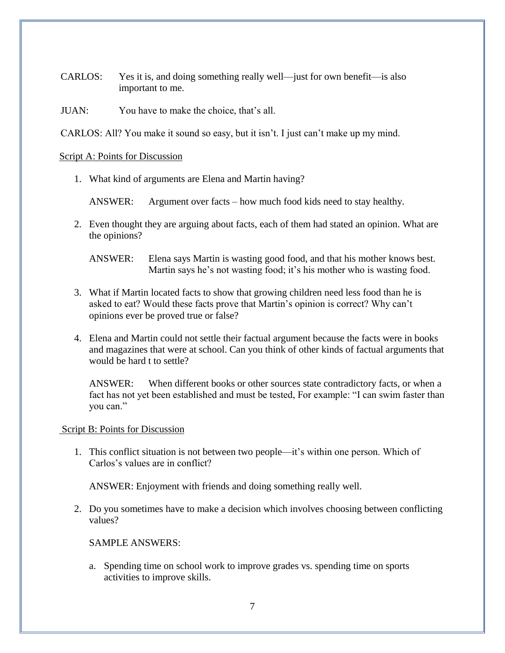CARLOS: Yes it is, and doing something really well—just for own benefit—is also important to me.

JUAN: You have to make the choice, that's all.

CARLOS: All? You make it sound so easy, but it isn't. I just can't make up my mind.

#### Script A: Points for Discussion

1. What kind of arguments are Elena and Martin having?

ANSWER: Argument over facts – how much food kids need to stay healthy.

2. Even thought they are arguing about facts, each of them had stated an opinion. What are the opinions?

ANSWER: Elena says Martin is wasting good food, and that his mother knows best. Martin says he's not wasting food; it's his mother who is wasting food.

- 3. What if Martin located facts to show that growing children need less food than he is asked to eat? Would these facts prove that Martin's opinion is correct? Why can't opinions ever be proved true or false?
- 4. Elena and Martin could not settle their factual argument because the facts were in books and magazines that were at school. Can you think of other kinds of factual arguments that would be hard t to settle?

ANSWER: When different books or other sources state contradictory facts, or when a fact has not yet been established and must be tested, For example: "I can swim faster than you can."

#### Script B: Points for Discussion

1. This conflict situation is not between two people—it's within one person. Which of Carlos's values are in conflict?

ANSWER: Enjoyment with friends and doing something really well.

2. Do you sometimes have to make a decision which involves choosing between conflicting values?

SAMPLE ANSWERS:

a. Spending time on school work to improve grades vs. spending time on sports activities to improve skills.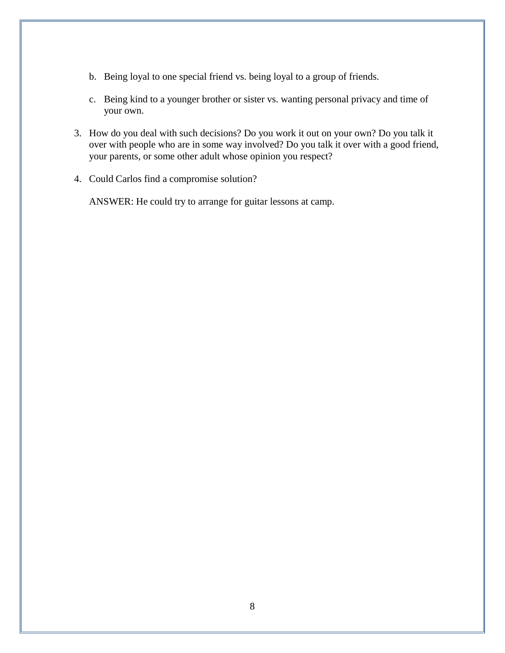- b. Being loyal to one special friend vs. being loyal to a group of friends.
- c. Being kind to a younger brother or sister vs. wanting personal privacy and time of your own.
- 3. How do you deal with such decisions? Do you work it out on your own? Do you talk it over with people who are in some way involved? Do you talk it over with a good friend, your parents, or some other adult whose opinion you respect?
- 4. Could Carlos find a compromise solution?

ANSWER: He could try to arrange for guitar lessons at camp.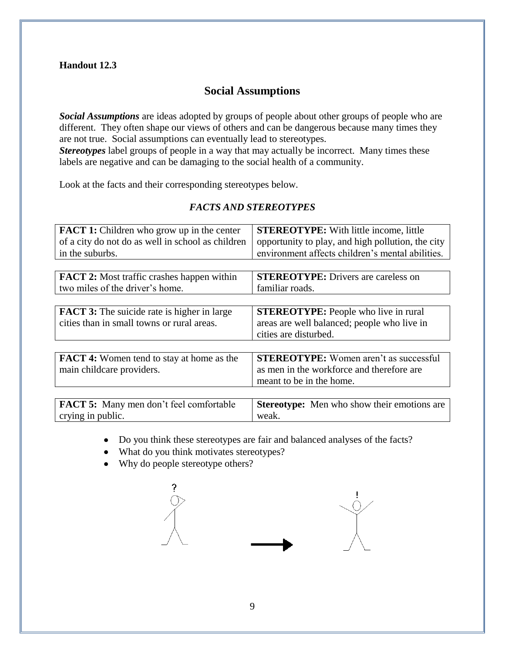#### **Social Assumptions**

*Social Assumptions* are ideas adopted by groups of people about other groups of people who are different. They often shape our views of others and can be dangerous because many times they are not true. Social assumptions can eventually lead to stereotypes.

*Stereotypes* label groups of people in a way that may actually be incorrect. Many times these labels are negative and can be damaging to the social health of a community.

Look at the facts and their corresponding stereotypes below.

#### *FACTS AND STEREOTYPES*

| <b>FACT 1:</b> Children who grow up in the center                                                | <b>STEREOTYPE:</b> With little income, little                                                                          |
|--------------------------------------------------------------------------------------------------|------------------------------------------------------------------------------------------------------------------------|
| of a city do not do as well in school as children                                                | opportunity to play, and high pollution, the city                                                                      |
| in the suburbs.                                                                                  | environment affects children's mental abilities.                                                                       |
| <b>FACT 2:</b> Most traffic crashes happen within                                                | <b>STEREOTYPE:</b> Drivers are careless on                                                                             |
| two miles of the driver's home.                                                                  | familiar roads.                                                                                                        |
| <b>FACT 3:</b> The suicide rate is higher in large<br>cities than in small towns or rural areas. | <b>STEREOTYPE:</b> People who live in rural<br>areas are well balanced; people who live in<br>cities are disturbed.    |
| <b>FACT 4:</b> Women tend to stay at home as the<br>main childcare providers.                    | <b>STEREOTYPE:</b> Women aren't as successful<br>as men in the workforce and therefore are<br>meant to be in the home. |
| <b>FACT 5:</b> Many men don't feel comfortable                                                   | <b>Stereotype:</b> Men who show their emotions are                                                                     |
| crying in public.                                                                                | weak.                                                                                                                  |

Do you think these stereotypes are fair and balanced analyses of the facts?

- What do you think motivates stereotypes?
- Why do people stereotype others?

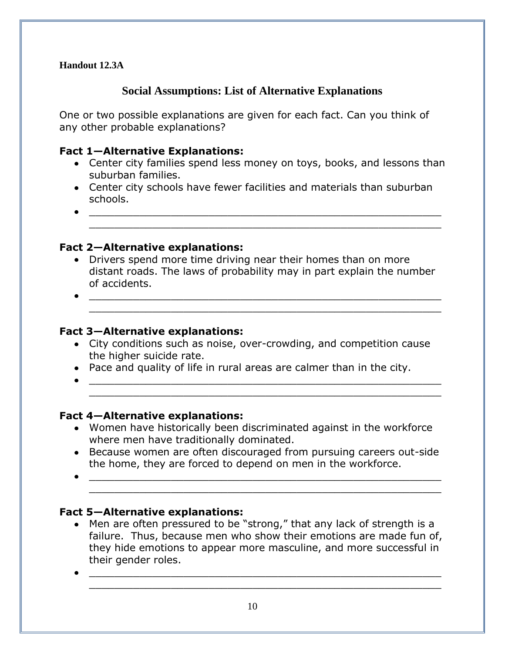### **Social Assumptions: List of Alternative Explanations**

One or two possible explanations are given for each fact. Can you think of any other probable explanations?

#### **Fact 1—Alternative Explanations:**

Center city families spend less money on toys, books, and lessons than suburban families.

\_\_\_\_\_\_\_\_\_\_\_\_\_\_\_\_\_\_\_\_\_\_\_\_\_\_\_\_\_\_\_\_\_\_\_\_\_\_\_\_\_\_\_\_\_\_\_\_\_\_\_\_\_\_\_\_

\_\_\_\_\_\_\_\_\_\_\_\_\_\_\_\_\_\_\_\_\_\_\_\_\_\_\_\_\_\_\_\_\_\_\_\_\_\_\_\_\_\_\_\_\_\_\_\_\_\_\_\_\_\_\_\_

- Center city schools have fewer facilities and materials than suburban schools.
- \_\_\_\_\_\_\_\_\_\_\_\_\_\_\_\_\_\_\_\_\_\_\_\_\_\_\_\_\_\_\_\_\_\_\_\_\_\_\_\_\_\_\_\_\_\_\_\_\_\_\_\_\_\_\_\_

#### **Fact 2—Alternative explanations:**

- Drivers spend more time driving near their homes than on more distant roads. The laws of probability may in part explain the number of accidents.
- \_\_\_\_\_\_\_\_\_\_\_\_\_\_\_\_\_\_\_\_\_\_\_\_\_\_\_\_\_\_\_\_\_\_\_\_\_\_\_\_\_\_\_\_\_\_\_\_\_\_\_\_\_\_\_\_

#### **Fact 3—Alternative explanations:**

- City conditions such as noise, over-crowding, and competition cause the higher suicide rate.
- Pace and quality of life in rural areas are calmer than in the city.
- \_\_\_\_\_\_\_\_\_\_\_\_\_\_\_\_\_\_\_\_\_\_\_\_\_\_\_\_\_\_\_\_\_\_\_\_\_\_\_\_\_\_\_\_\_\_\_\_\_\_\_\_\_\_\_\_ \_\_\_\_\_\_\_\_\_\_\_\_\_\_\_\_\_\_\_\_\_\_\_\_\_\_\_\_\_\_\_\_\_\_\_\_\_\_\_\_\_\_\_\_\_\_\_\_\_\_\_\_\_\_\_\_

#### **Fact 4—Alternative explanations:**

- Women have historically been discriminated against in the workforce where men have traditionally dominated.
- Because women are often discouraged from pursuing careers out-side the home, they are forced to depend on men in the workforce.
- \_\_\_\_\_\_\_\_\_\_\_\_\_\_\_\_\_\_\_\_\_\_\_\_\_\_\_\_\_\_\_\_\_\_\_\_\_\_\_\_\_\_\_\_\_\_\_\_\_\_\_\_\_\_\_\_ \_\_\_\_\_\_\_\_\_\_\_\_\_\_\_\_\_\_\_\_\_\_\_\_\_\_\_\_\_\_\_\_\_\_\_\_\_\_\_\_\_\_\_\_\_\_\_\_\_\_\_\_\_\_\_\_

#### **Fact 5—Alternative explanations:**

Men are often pressured to be "strong," that any lack of strength is a failure. Thus, because men who show their emotions are made fun of, they hide emotions to appear more masculine, and more successful in their gender roles.

\_\_\_\_\_\_\_\_\_\_\_\_\_\_\_\_\_\_\_\_\_\_\_\_\_\_\_\_\_\_\_\_\_\_\_\_\_\_\_\_\_\_\_\_\_\_\_\_\_\_\_\_\_\_\_\_

\_\_\_\_\_\_\_\_\_\_\_\_\_\_\_\_\_\_\_\_\_\_\_\_\_\_\_\_\_\_\_\_\_\_\_\_\_\_\_\_\_\_\_\_\_\_\_\_\_\_\_\_\_\_\_\_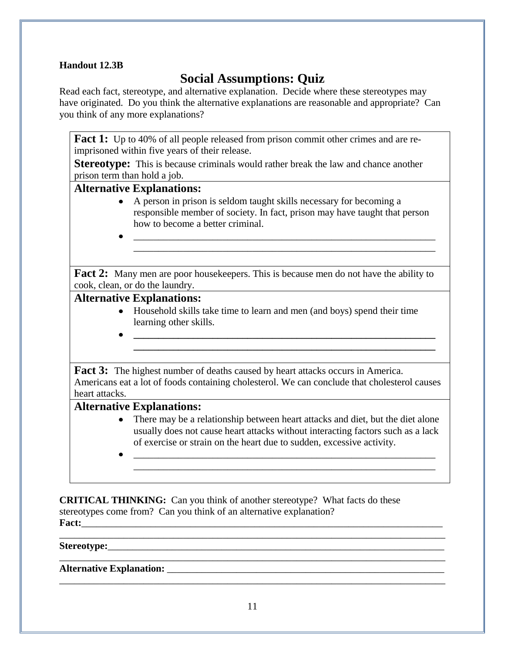## **Social Assumptions: Quiz**

Read each fact, stereotype, and alternative explanation. Decide where these stereotypes may have originated. Do you think the alternative explanations are reasonable and appropriate? Can you think of any more explanations?

**Fact 1:** Up to 40% of all people released from prison commit other crimes and are reimprisoned within five years of their release.

**Stereotype:** This is because criminals would rather break the law and chance another prison term than hold a job.

#### **Alternative Explanations:**

A person in prison is seldom taught skills necessary for becoming a responsible member of society. In fact, prison may have taught that person how to become a better criminal.

\_\_\_\_\_\_\_\_\_\_\_\_\_\_\_\_\_\_\_\_\_\_\_\_\_\_\_\_\_\_\_\_\_\_\_\_\_\_\_\_\_\_\_\_\_\_\_\_\_\_\_\_\_\_\_\_\_\_\_\_\_ \_\_\_\_\_\_\_\_\_\_\_\_\_\_\_\_\_\_\_\_\_\_\_\_\_\_\_\_\_\_\_\_\_\_\_\_\_\_\_\_\_\_\_\_\_\_\_\_\_\_\_\_\_\_\_\_\_\_\_\_\_

**Fact 2:** Many men are poor housekeepers. This is because men do not have the ability to cook, clean, or do the laundry.

#### **Alternative Explanations:**

Household skills take time to learn and men (and boys) spend their time learning other skills.

Fact 3: The highest number of deaths caused by heart attacks occurs in America. Americans eat a lot of foods containing cholesterol. We can conclude that cholesterol causes heart attacks.

**\_\_\_\_\_\_\_\_\_\_\_\_\_\_\_\_\_\_\_\_\_\_\_\_\_\_\_\_\_\_\_\_\_\_\_\_\_\_\_\_\_\_\_\_\_\_\_\_\_\_\_\_\_\_\_\_\_\_\_\_\_**

#### **Alternative Explanations:**

• There may be a relationship between heart attacks and diet, but the diet alone usually does not cause heart attacks without interacting factors such as a lack of exercise or strain on the heart due to sudden, excessive activity.

\_\_\_\_\_\_\_\_\_\_\_\_\_\_\_\_\_\_\_\_\_\_\_\_\_\_\_\_\_\_\_\_\_\_\_\_\_\_\_\_\_\_\_\_\_\_\_\_\_\_\_\_\_\_\_\_\_\_\_\_\_

**\_\_\_\_\_\_\_\_\_\_\_\_\_\_\_\_\_\_\_\_\_\_\_\_\_\_\_\_\_\_\_\_\_\_\_\_\_\_\_\_\_\_\_\_\_\_\_\_\_\_\_\_\_\_\_\_\_\_\_\_\_**

\_\_\_\_\_\_\_\_\_\_\_\_\_\_\_\_\_\_\_\_\_\_\_\_\_\_\_\_\_\_\_\_\_\_\_\_\_\_\_\_\_\_\_\_\_\_\_\_\_\_\_\_\_\_\_\_\_\_\_\_\_

**CRITICAL THINKING:**Can you think of another stereotype? What facts do these stereotypes come from? Can you think of an alternative explanation? Fact:

**Stereotype:**\_\_\_\_\_\_\_\_\_\_\_\_\_\_\_\_\_\_\_\_\_\_\_\_\_\_\_\_\_\_\_\_\_\_\_\_\_\_\_\_\_\_\_\_\_\_\_\_\_\_\_\_\_\_\_\_\_\_\_\_\_\_\_\_\_\_\_\_

#### **Alternative Explanation:** \_\_\_\_\_\_\_\_\_\_\_\_\_\_\_\_\_\_\_\_\_\_\_\_\_\_\_\_\_\_\_\_\_\_\_\_\_\_\_\_\_\_\_\_\_\_\_\_\_\_\_\_\_\_\_\_

\_\_\_\_\_\_\_\_\_\_\_\_\_\_\_\_\_\_\_\_\_\_\_\_\_\_\_\_\_\_\_\_\_\_\_\_\_\_\_\_\_\_\_\_\_\_\_\_\_\_\_\_\_\_\_\_\_\_\_\_\_\_\_\_\_\_\_\_\_\_\_\_\_\_\_\_\_\_

\_\_\_\_\_\_\_\_\_\_\_\_\_\_\_\_\_\_\_\_\_\_\_\_\_\_\_\_\_\_\_\_\_\_\_\_\_\_\_\_\_\_\_\_\_\_\_\_\_\_\_\_\_\_\_\_\_\_\_\_\_\_\_\_\_\_\_\_\_\_\_\_\_\_\_\_\_\_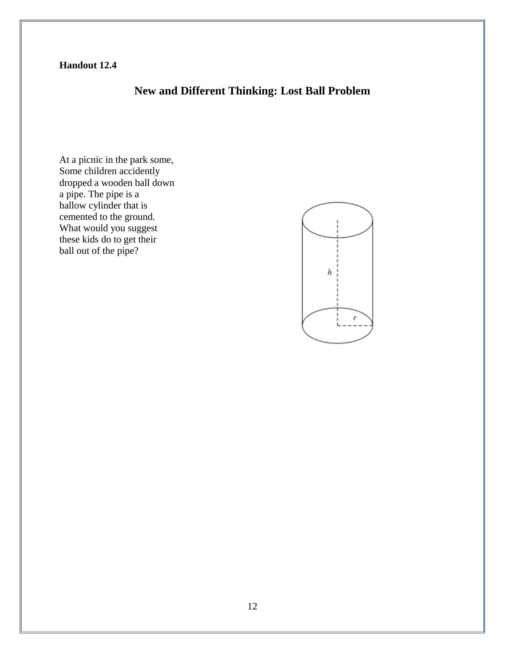### **New and Different Thinking: Lost Ball Problem**

At a picnic in the park some, Some children accidently dropped a wooden ball down a pipe. The pipe is a hallow cylinder that is cemented to the ground. What would you suggest these kids do to get their ball out of the pipe?

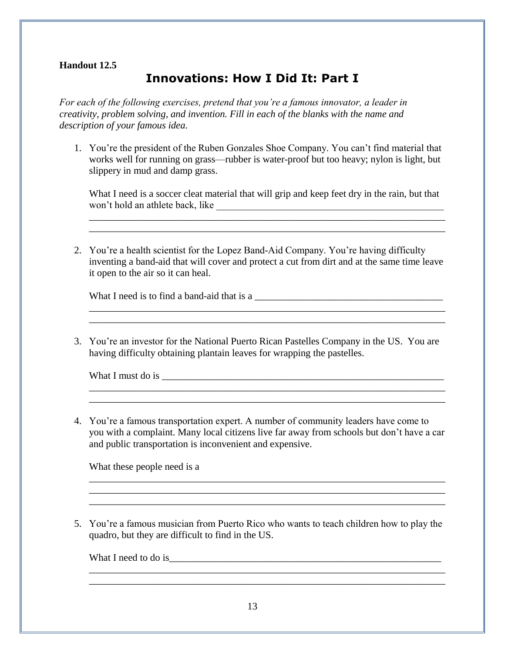## **Innovations: How I Did It: Part I**

*For each of the following exercises, pretend that you're a famous innovator, a leader in creativity, problem solving, and invention. Fill in each of the blanks with the name and description of your famous idea.* 

1. You're the president of the Ruben Gonzales Shoe Company. You can't find material that works well for running on grass—rubber is water-proof but too heavy; nylon is light, but slippery in mud and damp grass.

What I need is a soccer cleat material that will grip and keep feet dry in the rain, but that won't hold an athlete back, like \_\_\_\_\_\_\_\_\_\_\_\_\_\_\_\_\_\_\_\_\_\_\_\_\_\_\_\_\_\_\_\_\_\_\_\_\_\_\_\_\_\_\_\_\_\_

\_\_\_\_\_\_\_\_\_\_\_\_\_\_\_\_\_\_\_\_\_\_\_\_\_\_\_\_\_\_\_\_\_\_\_\_\_\_\_\_\_\_\_\_\_\_\_\_\_\_\_\_\_\_\_\_\_\_\_\_\_\_\_\_\_\_\_\_\_\_\_\_

2. You're a health scientist for the Lopez Band-Aid Company. You're having difficulty inventing a band-aid that will cover and protect a cut from dirt and at the same time leave it open to the air so it can heal.

What I need is to find a band-aid that is a

3. You're an investor for the National Puerto Rican Pastelles Company in the US. You are having difficulty obtaining plantain leaves for wrapping the pastelles.

\_\_\_\_\_\_\_\_\_\_\_\_\_\_\_\_\_\_\_\_\_\_\_\_\_\_\_\_\_\_\_\_\_\_\_\_\_\_\_\_\_\_\_\_\_\_\_\_\_\_\_\_\_\_\_\_\_\_\_\_\_\_\_\_\_\_\_\_\_\_\_\_

\_\_\_\_\_\_\_\_\_\_\_\_\_\_\_\_\_\_\_\_\_\_\_\_\_\_\_\_\_\_\_\_\_\_\_\_\_\_\_\_\_\_\_\_\_\_\_\_\_\_\_\_\_\_\_\_\_\_\_\_\_\_\_\_\_\_\_\_\_\_\_\_ \_\_\_\_\_\_\_\_\_\_\_\_\_\_\_\_\_\_\_\_\_\_\_\_\_\_\_\_\_\_\_\_\_\_\_\_\_\_\_\_\_\_\_\_\_\_\_\_\_\_\_\_\_\_\_\_\_\_\_\_\_\_\_\_\_\_\_\_\_\_\_\_

What I must do is \_\_\_\_\_\_\_\_\_\_\_\_\_\_\_\_\_\_\_\_\_\_\_\_\_\_\_\_\_\_\_\_\_\_\_\_\_\_\_\_\_\_\_\_\_\_\_\_\_\_\_\_\_\_\_\_\_

4. You're a famous transportation expert. A number of community leaders have come to you with a complaint. Many local citizens live far away from schools but don't have a car and public transportation is inconvenient and expensive.

\_\_\_\_\_\_\_\_\_\_\_\_\_\_\_\_\_\_\_\_\_\_\_\_\_\_\_\_\_\_\_\_\_\_\_\_\_\_\_\_\_\_\_\_\_\_\_\_\_\_\_\_\_\_\_\_\_\_\_\_\_\_\_\_\_\_\_\_\_\_\_\_ \_\_\_\_\_\_\_\_\_\_\_\_\_\_\_\_\_\_\_\_\_\_\_\_\_\_\_\_\_\_\_\_\_\_\_\_\_\_\_\_\_\_\_\_\_\_\_\_\_\_\_\_\_\_\_\_\_\_\_\_\_\_\_\_\_\_\_\_\_\_\_\_ \_\_\_\_\_\_\_\_\_\_\_\_\_\_\_\_\_\_\_\_\_\_\_\_\_\_\_\_\_\_\_\_\_\_\_\_\_\_\_\_\_\_\_\_\_\_\_\_\_\_\_\_\_\_\_\_\_\_\_\_\_\_\_\_\_\_\_\_\_\_\_\_

What these people need is a

5. You're a famous musician from Puerto Rico who wants to teach children how to play the quadro, but they are difficult to find in the US.

\_\_\_\_\_\_\_\_\_\_\_\_\_\_\_\_\_\_\_\_\_\_\_\_\_\_\_\_\_\_\_\_\_\_\_\_\_\_\_\_\_\_\_\_\_\_\_\_\_\_\_\_\_\_\_\_\_\_\_\_\_\_\_\_\_\_\_\_\_\_\_\_

What I need to do is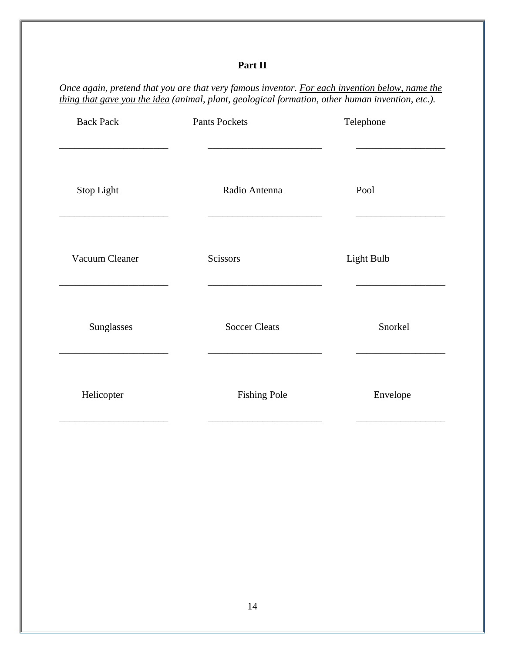### **Part II**

*Once again, pretend that you are that very famous inventor. For each invention below, name the thing that gave you the idea (animal, plant, geological formation, other human invention, etc.).*

| <b>Back Pack</b> | <b>Pants Pockets</b> | Telephone  |
|------------------|----------------------|------------|
| Stop Light       | Radio Antenna        | Pool       |
| Vacuum Cleaner   | Scissors             | Light Bulb |
| Sunglasses       | <b>Soccer Cleats</b> | Snorkel    |
| Helicopter       | <b>Fishing Pole</b>  | Envelope   |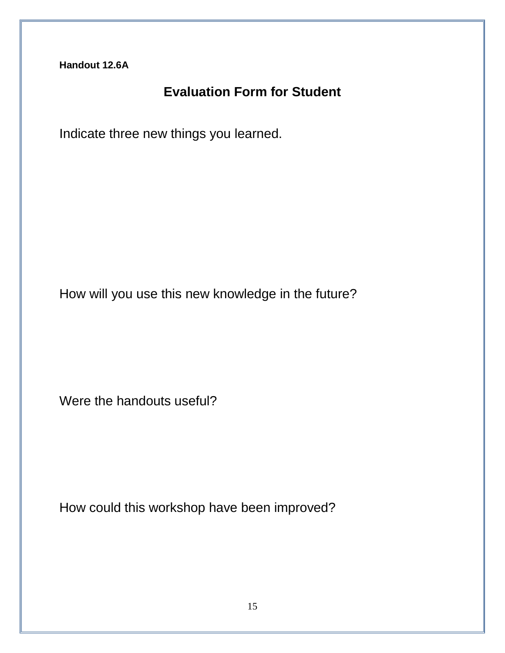## **Evaluation Form for Student**

Indicate three new things you learned.

How will you use this new knowledge in the future?

Were the handouts useful?

How could this workshop have been improved?